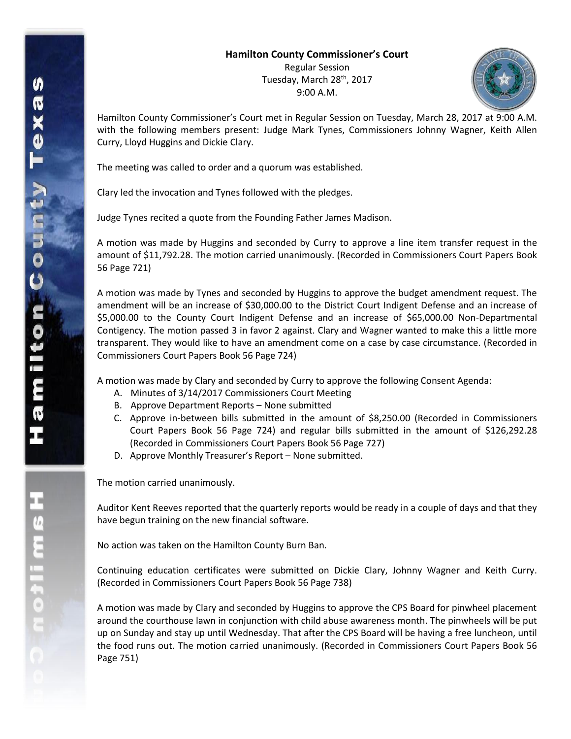## **Hamilton County Commissioner's Court** Regular Session

Tuesday, March 28<sup>th</sup>, 2017 9:00 A.M.



Hamilton County Commissioner's Court met in Regular Session on Tuesday, March 28, 2017 at 9:00 A.M. with the following members present: Judge Mark Tynes, Commissioners Johnny Wagner, Keith Allen Curry, Lloyd Huggins and Dickie Clary.

The meeting was called to order and a quorum was established.

Clary led the invocation and Tynes followed with the pledges.

Judge Tynes recited a quote from the Founding Father James Madison.

A motion was made by Huggins and seconded by Curry to approve a line item transfer request in the amount of \$11,792.28. The motion carried unanimously. (Recorded in Commissioners Court Papers Book 56 Page 721)

A motion was made by Tynes and seconded by Huggins to approve the budget amendment request. The amendment will be an increase of \$30,000.00 to the District Court Indigent Defense and an increase of \$5,000.00 to the County Court Indigent Defense and an increase of \$65,000.00 Non-Departmental Contigency. The motion passed 3 in favor 2 against. Clary and Wagner wanted to make this a little more transparent. They would like to have an amendment come on a case by case circumstance. (Recorded in Commissioners Court Papers Book 56 Page 724)

A motion was made by Clary and seconded by Curry to approve the following Consent Agenda:

- A. Minutes of 3/14/2017 Commissioners Court Meeting
- B. Approve Department Reports None submitted
- C. Approve in-between bills submitted in the amount of \$8,250.00 (Recorded in Commissioners Court Papers Book 56 Page 724) and regular bills submitted in the amount of \$126,292.28 (Recorded in Commissioners Court Papers Book 56 Page 727)
- D. Approve Monthly Treasurer's Report None submitted.

The motion carried unanimously.

Auditor Kent Reeves reported that the quarterly reports would be ready in a couple of days and that they have begun training on the new financial software.

No action was taken on the Hamilton County Burn Ban.

Continuing education certificates were submitted on Dickie Clary, Johnny Wagner and Keith Curry. (Recorded in Commissioners Court Papers Book 56 Page 738)

A motion was made by Clary and seconded by Huggins to approve the CPS Board for pinwheel placement around the courthouse lawn in conjunction with child abuse awareness month. The pinwheels will be put up on Sunday and stay up until Wednesday. That after the CPS Board will be having a free luncheon, until the food runs out. The motion carried unanimously. (Recorded in Commissioners Court Papers Book 56 Page 751)